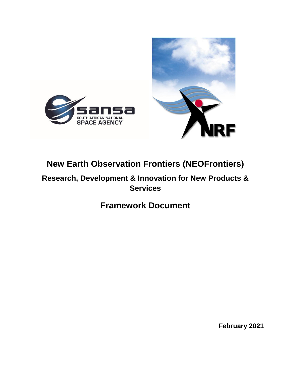

# **New Earth Observation Frontiers (NEOFrontiers)**

**Research, Development & Innovation for New Products & Services**

# **Framework Document**

**February 2021**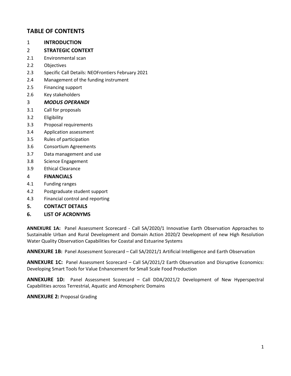## **TABLE OF CONTENTS**

- 1 **INTRODUCTION**
- 2 **STRATEGIC CONTEXT**
- 2.1 Environmental scan
- 2.2 Objectives
- 2.3 Specific Call Details: NEOFrontiers February 2021
- 2.4 Management of the funding instrument
- 2.5 Financing support
- 2.6 Key stakeholders

#### 3 *MODUS OPERANDI*

- 3.1 Call for proposals
- 3.2 Eligibility
- 3.3 Proposal requirements
- 3.4 Application assessment
- 3.5 Rules of participation
- 3.6 Consortium Agreements
- 3.7 Data management and use
- 3.8 Science Engagement
- 3.9 Ethical Clearance

#### 4 **FINANCIALS**

- 4.1 Funding ranges
- 4.2 Postgraduate student support
- 4.3 Financial control and reporting
- **5. CONTACT DETAILS**
- **6. LIST OF ACRONYMS**

**ANNEXURE 1A:** Panel Assessment Scorecard - Call SA/2020/1 Innovative Earth Observation Approaches to Sustainable Urban and Rural Development and Domain Action 2020/2 Development of new High Resolution Water Quality Observation Capabilities for Coastal and Estuarine Systems

**ANNEXURE 1B:** Panel Assessment Scorecard – Call SA/2021/1 Artificial Intelligence and Earth Observation

**ANNEXURE 1C:** Panel Assessment Scorecard – Call SA/2021/2 Earth Observation and Disruptive Economics: Developing Smart Tools for Value Enhancement for Small Scale Food Production

**ANNEXURE 1D:** Panel Assessment Scorecard – Call DDA/2021/2 Development of New Hyperspectral Capabilities across Terrestrial, Aquatic and Atmospheric Domains

#### **ANNEXURE 2:** Proposal Grading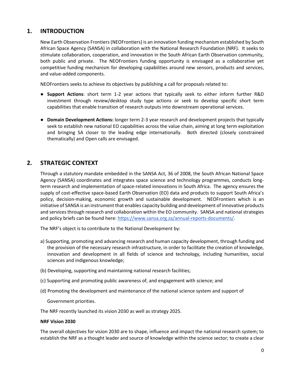## **1. INTRODUCTION**

New Earth Observation Frontiers (NEOFrontiers) is an innovation funding mechanism established by South African Space Agency (SANSA) in collaboration with the National Research Foundation (NRF). It seeks to stimulate collaboration, cooperation, and innovation in the South African Earth Observation community, both public and private. The NEOFrontiers funding opportunity is envisaged as a collaborative yet competitive funding mechanism for developing capabilities around new sensors, products and services, and value-added components.

NEOFrontiers seeks to achieve its objectives by publishing a call for proposals related to:

- **Support Actions**: short term 1-2 year actions that typically seek to either inform further R&D investment through review/desktop study type actions or seek to develop specific short term capabilities that enable transition of research outputs into downstream operational services.
- **Domain Development Actions:** longer term 2-3 year research and development projects that typically seek to establish new national EO capabilities across the value chain, aiming at long term exploitation and bringing SA closer to the leading edge internationally. Both directed (closely constrained thematically) and Open calls are envisaged.

## **2. STRATEGIC CONTEXT**

Through a statutory mandate embedded in the SANSA Act, 36 of 2008, the South African National Space Agency (SANSA) coordinates and integrates space science and technology programmes, conducts longterm research and implementation of space-related innovations in South Africa. The agency ensures the supply of cost-effective space-based Earth Observation (EO) data and products to support South Africa's policy, decision-making, economic growth and sustainable development. NEOFrontiers which is an initiative of SANSA is an instrument that enables capacity building and development of innovative products and services through research and collaboration within the EO community. SANSA and national strategies and policy briefs can be found here: [https://www.sansa.org.za/annual-reports-documents/.](https://www.sansa.org.za/annual-reports-documents/)

The NRF's object is to contribute to the National Development by:

- a) Supporting, promoting and advancing research and human capacity development, through funding and the provision of the necessary research infrastructure, in order to facilitate the creation of knowledge, innovation and development in all fields of science and technology, including humanities, social sciences and indigenous knowledge;
- (b) Developing, supporting and maintaining national research facilities;
- (c) Supporting and promoting public awareness of, and engagement with science; and
- (d) Promoting the development and maintenance of the national science system and support of

Government priorities.

The NRF recently launched its vision 2030 as well as strategy 2025.

#### **NRF Vision 2030**

The overall objectives for vision 2030 are to shape, influence and impact the national research system; to establish the NRF as a thought leader and source of knowledge within the science sector; to create a clear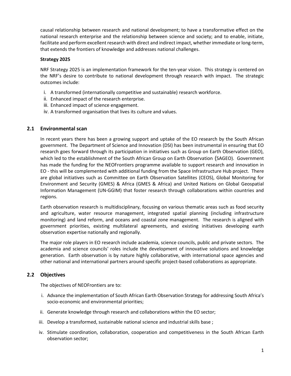causal relationship between research and national development; to have a transformative effect on the national research enterprise and the relationship between science and society; and to enable, initiate, facilitate and perform excellent research with direct and indirect impact, whether immediate or long-term, that extends the frontiers of knowledge and addresses national challenges.

#### **Strategy 2025**

NRF Strategy 2025 is an implementation framework for the ten-year vision. This strategy is centered on the NRF's desire to contribute to national development through research with impact. The strategic outcomes include:

- i. A transformed (internationally competitive and sustainable) research workforce.
- ii. Enhanced impact of the research enterprise.
- iii. Enhanced impact of science engagement.
- iv. A transformed organisation that lives its culture and values.

#### **2.1 Environmental scan**

In recent years there has been a growing support and uptake of the EO research by the South African government. The Department of Science and Innovation (DSI) has been instrumental in ensuring that EO research goes forward through its participation in initiatives such as Group on Earth Observation (GEO), which led to the establishment of the South African Group on Earth Observation (SAGEO). Government has made the funding for the NEOFrontiers programme available to support research and innovation in EO - this will be complemented with additional funding from the Space Infrastructure Hub project. There are global initiatives such as Committee on Earth Observation Satellites (CEOS), Global Monitoring for Environment and Security (GMES) & Africa (GMES & Africa) and United Nations on Global Geospatial Information Management (UN-GGIM) that foster research through collaborations within countries and regions.

Earth observation research is multidisciplinary, focusing on various thematic areas such as food security and agriculture, water resource management, integrated spatial planning (including infrastructure monitoring) and land reform, and oceans and coastal zone management. The research is aligned with government priorities, existing multilateral agreements, and existing initiatives developing earth observation expertise nationally and regionally.

The major role players in EO research include academia, science councils, public and private sectors. The academia and science councils' roles include the development of innovative solutions and knowledge generation. Earth observation is by nature highly collaborative, with international space agencies and other national and international partners around specific project-based collaborations as appropriate.

#### **2.2 Objectives**

The objectives of NEOFrontiers are to:

- i. Advance the implementation of South African Earth Observation Strategy for addressing South Africa's socio-economic and environmental priorities;
- ii. Generate knowledge through research and collaborations within the EO sector;
- iii. Develop a transformed, sustainable national science and industrial skills base ;
- iv. Stimulate coordination, collaboration, cooperation and competitiveness in the South African Earth observation sector;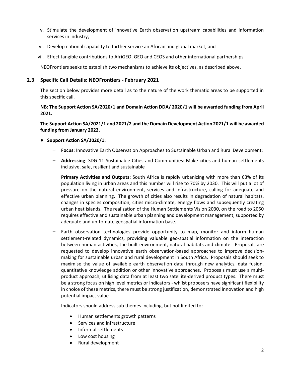- v. Stimulate the development of innovative Earth observation upstream capabilities and information services in industry;
- vi. Develop national capability to further service an African and global market; and
- vii. Effect tangible contributions to AfriGEO, GEO and CEOS and other international partnerships.

NEOFrontiers seeks to establish two mechanisms to achieve its objectives, as described above.

#### **2.3 Specific Call Details: NEOFrontiers - February 2021**

The section below provides more detail as to the nature of the work thematic areas to be supported in this specific call.

#### **NB: The Support Action SA/2020/1 and Domain Action DDA/ 2020/1 will be awarded funding from April 2021.**

**The Support Action SA/2021/1 and 2021/2 and the Domain Development Action 2021/1 will be awarded funding from January 2022.**

- **Support Action SA/2020/1:**
	- − **Focus**: Innovative Earth Observation Approaches to Sustainable Urban and Rural Development;
	- − **Addressing**: SDG 11 Sustainable Cities and Communities: Make cities and human settlements inclusive, safe, resilient and sustainable
	- − **Primary Activities and Outputs:** South Africa is rapidly urbanizing with more than 63% of its population living in urban areas and this number will rise to 70% by 2030. This will put a lot of pressure on the natural environment, services and infrastructure, calling for adequate and effective urban planning. The growth of cities also results in degradation of natural habitats, changes in species composition, cities micro-climate, energy flows and subsequently creating urban heat islands. The realization of the Human Settlements Vision 2030, on the road to 2050 requires effective and sustainable urban planning and development management, supported by adequate and up-to-date geospatial information base.
	- Earth observation technologies provide opportunity to map, monitor and inform human settlement-related dynamics, providing valuable geo-spatial information on the interaction between human activities, the built environment, natural habitats and climate. Proposals are requested to develop innovative earth observation-based approaches to improve decisionmaking for sustainable urban and rural development in South Africa. Proposals should seek to maximise the value of available earth observation data through new analytics, data fusion, quantitative knowledge addition or other innovative approaches. Proposals must use a multiproduct approach, utilising data from at least two satellite-derived product types. There must be a strong focus on high level metrics or indicators - whilst proposers have significant flexibility in choice of these metrics, there must be strong justification, demonstrated innovation and high potential impact value

Indicators should address sub themes including, but not limited to:

- Human settlements growth patterns
- Services and infrastructure
- Informal settlements
- Low cost housing
- Rural development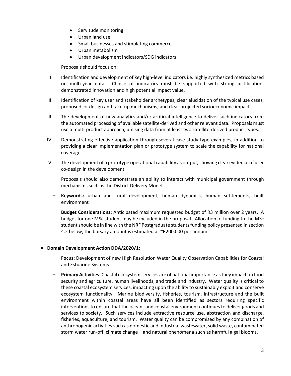- Servitude monitoring
- Urban land use
- Small businesses and stimulating commerce
- Urban metabolism
- Urban development indicators/SDG indicators

Proposals should focus on:

- I. Identification and development of key high-level indicators i.e. highly synthesized metrics based on multi-year data. Choice of indicators must be supported with strong justification, demonstrated innovation and high potential impact value.
- II. Identification of key user and stakeholder archetypes, clear elucidation of the typical use cases, proposed co-design and take-up mechanisms, and clear projected socioeconomic impact.
- III. The development of new analytics and/or artificial intelligence to deliver such indicators from the automated processing of available satellite-derived and other relevant data. Proposals must use a multi-product approach, utilising data from at least two satellite-derived product types.
- IV. Demonstrating effective application through several case study type examples, in addition to providing a clear implementation plan or prototype system to scale the capability for national coverage.
- V. The development of a prototype operational capability as output, showing clear evidence of user co-design in the development

Proposals should also demonstrate an ability to interact with municipal government through mechanisms such as the District Delivery Model.

- − **Keywords:** urban and rural development, human dynamics, human settlements, built environment
- − **Budget Considerations:** Anticipated maximum requested budget of R3 million over 2 years. A budget for one MSc student may be included in the proposal. Allocation of funding to the MSc student should be in line with the NRF Postgraduate students funding policy presented in section 4.2 below, the bursary amount is estimated at ~R200,000 per annum.

#### ● **Domain Development Action DDA/2020/1:**

- − **Focus:** Development of new High Resolution Water Quality Observation Capabilities for Coastal and Estuarine Systems
- − **Primary Activities:** Coastal ecosystem services are of national importance as they impact on food security and agriculture, human livelihoods, and trade and industry. Water quality is critical to these coastal ecosystem services, impacting upon the ability to sustainably exploit and conserve ecosystem functionality. Marine biodiversity, fisheries, tourism, infrastructure and the built environment within coastal areas have all been identified as sectors requiring specific interventions to ensure that the oceans and coastal environment continues to deliver goods and services to society. Such services include extractive resource use, abstraction and discharge, fisheries, aquaculture, and tourism. Water quality can be compromised by any combination of anthropogenic activities such as domestic and industrial wastewater, solid waste, contaminated storm water run-off, climate change – and natural phenomena such as harmful algal blooms.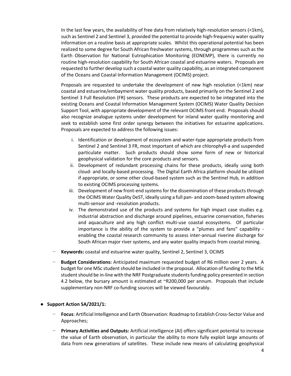In the last few years, the availability of free data from relatively high-resolution sensors ( $\leq 1$ km), such as Sentinel 2 and Sentinel 3, provided the potential to provide high-frequency water quality information on a routine basis at appropriate scales. Whilst this operational potential has been realized to some degree for South African freshwater systems, through programmes such as the Earth Observation for National Eutrophication Monitoring (EONEMP), there is currently no routine high-resolution capability for South African coastal and estuarine waters. Proposals are requested to further develop such a coastal water quality capability, as an integrated component of the Oceans and Coastal Information Management (OCIMS) project.

Proposals are requested to undertake the development of new high resolution ( $\leq 1$ km) near coastal and estuarine/embayment water quality products, based primarily on the Sentinel 2 and Sentinel 3 Full Resolution (FR) sensors. These products are expected to be integrated into the existing Oceans and Coastal Information Management System (OCIMS) Water Quality Decision Support Tool, with appropriate development of the relevant OCIMS front end. Proposals should also recognize analogue systems under development for inland water quality monitoring and seek to establish some first order synergy between the initiatives for estuarine applications. Proposals are expected to address the following issues:

- i. Identification or development of ecosystem and water-type appropriate products from Sentinel 2 and Sentinel 3 FR, most important of which are chlorophyll-a and suspended particulate matter. Such products should show some form of new or historical geophysical validation for the core products and sensors.
- ii. Development of redundant processing chains for these products, ideally using both cloud- and locally-based processing. The Digital Earth Africa platform should be utilized if appropriate, or some other cloud-based system such as the Sentinel Hub, in addition to existing OCIMS processing systems.
- iii. Development of new front-end systems for the dissemination of these products through the OCIMS Water Quality DeST, ideally using a full pan- and zoom-based system allowing multi-sensor and -resolution products.
- iv. The demonstrated use of the products and systems for high impact case studies e.g. industrial abstraction and discharge around pipelines, estuarine conservation, fisheries and aquaculture and any high conflict multi-use coastal ecosystems. Of particular importance is the ability of the system to provide a "plumes and fans" capability enabling the coastal research community to assess inter-annual riverine discharge for South African major river systems, and any water quality impacts from coastal mining.
- − **Keywords:** coastal and estuarine water quality, Sentinel 2, Sentinel 3, OCIMS
- Budget Considerations: Anticipated maximum requested budget of R6 million over 2 years. A budget for one MSc student should be included in the proposal. Allocation of funding to the MSc student should be in-line with the NRF Postgraduate students funding policy presented in section 4.2 below, the bursary amount is estimated at ~R200,000 per annum. Proposals that include supplementary non-NRF co-funding sources will be viewed favourably.

#### ● **Support Action SA/2021/1:**

- − **Focus**: Artificial Intelligence and Earth Observation: Roadmap to Establish Cross-Sector Value and Approaches;
- − **Primary Activities and Outputs:** Artificial intelligence (AI) offers significant potential to increase the value of Earth observation, in particular the ability to more fully exploit large amounts of data from new generations of satellites. These include new means of calculating geophysical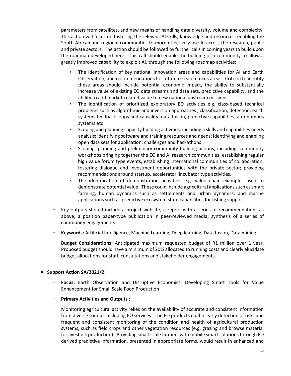parameters from satellites, and new means of handling data diversity, volume and complexity. This action will focus on fostering the relevant AI skills, knowledge and resources, enabling the South African and regional communities to more effectively use AI across the research, public and private sectors. The action should be followed by further calls in coming years to build upon the roadmap developed here. This call should enable the building of a community to allow a greatly improved capability to exploit AI, through the following roadmap activities:

- The identification of key national innovation areas and capabilities for AI and Earth Observation, and recommendations for future research focus areas. Criteria to identify these areas should include potential economic impact, the ability to substantially increase value of existing EO data streams and data sets, predictive capability, and the ability to add market-related value to new national upstream missions.
- The identification of prioritized exploratory EO activities e.g. class-based technical problems such as algorithmic and inversion approaches , classification, detection, earth systems feedback loops and causality, data fusion, predictive capabilities, autonomous systems etc
- Scoping and planning capacity building activities, including a skills and capabilities needs analysis; identifying software and training resources and needs; identifying and enabling open data sets for application; challenges and hackathons
- Scoping, planning and preliminary community building actions, including: community workshops bringing together the EO and AI research communities; establishing regular high value forum type events; establishing international communities of collaboration; fostering dialogue and investment opportunities with the private sector; providing recommendations around startup, accelerator, incubator type activities.
- The identification of demonstration activities, e.g. value chain examples used to demonstrate potential value. These could include agricultural applications such as smart farming; human dynamics such as settlements and urban dynamics; and marine applications such as predictive ecosystem state capabilities for fishing support.
- Key outputs should include a project website; a report with a series of recommendations as above; a position paper-type publication in peer-reviewed media; synthesis of a series of community engagements.
- − **Keywords:** Artificial Intelligence, Machine Learning, Deep learning, Data fusion, Data mining
- Budget Considerations: Anticipated maximum requested budget of R1 million over 1 year. Proposed budget should have a minimum of 20% allocated to running costs and clearly elucidate budget allocations for staff, consultations and stakeholder engagements.

#### **Support Action SA/2021/2:**

− **Focus:** Earth Observation and Disruptive Economics: Developing Smart Tools for Value Enhancement for Small Scale Food Production

#### − **Primary Activities and Outputs** :

Monitoring agricultural activity relies on the availability of accurate and consistent information from diverse sources including EO services. The EO products enable early detection of risks and frequent and consistent monitoring of the condition and health of agricultural production systems, such as field crops and other vegetation resources (e.g. grazing and browse material for livestock production). Providing small-scale farmers with mobile smart solutions through EO derived predictive information, presented in appropriate forms, would result in enhanced and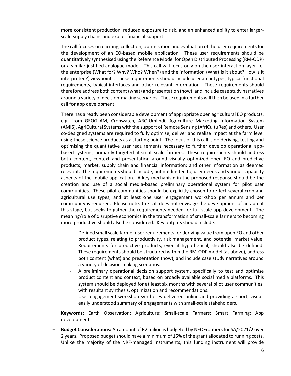more consistent production, reduced exposure to risk, and an enhanced ability to enter largerscale supply chains and exploit financial support.

The call focuses on eliciting, collection, optimisation and evaluation of the user requirements for the development of an EO-based mobile application. These user requirements should be quantitatively synthesised using the Reference Model for Open Distributed Processing (RM-ODP) or a similar justified analogue model. This call will focus only on the user interaction layer i.e. the enterprise (What for? Why? Who? When?) and the information (What is it about? How is it interpreted?) viewpoints. These requirements should include user archetypes, typical functional requirements, typical interfaces and other relevant information. These requirements should therefore address both content (what) and presentation (how), and include case study narratives around a variety of decision-making scenarios. These requirements will then be used in a further call for app development.

There has already been considerable development of appropriate open agricultural EO products, e.g. from GEOGLAM, Cropwatch, ARC-Umlindi, Agriculture Marketing Information System (AMIS), AgriCultural Systems with the support of Remote Sensing (AfriCultuRes) and others. User co-designed systems are required to fully optimise, deliver and realise impact at the farm level using these science products as a starting point. The focus of this call is on deriving, testing and optimising the quantitative user requirements necessary to further develop operational appbased systems, primarily targeted at small scale farmers. These requirements should address both content, context and presentation around visually optimized open EO and predictive products; market, supply chain and financial information; and other information as deemed relevant. The requirements should include, but not limited to, user needs and various capability aspects of the mobile application. A key mechanism in the proposed response should be the creation and use of a social media-based preliminary operational system for pilot user communities. These pilot communities should be explicitly chosen to reflect several crop and agricultural use types, and at least one user engagement workshop per annum and per community is required. Please note: the call does not envisage the development of an app at this stage, but seeks to gather the requirements needed for full-scale app development. The meaning/role of disruptive economics in the transformation of small-scale farmers to becoming more productive should also be considered. Key outputs should include:

- Defined small scale farmer user requirements for deriving value from open EO and other product types, relating to productivity, risk management, and potential market value. Requirements for predictive products, even if hypothetical, should also be defined. These requirements should be structured within the RM-ODP model (as above), address both content (what) and presentation (how), and include case study narratives around a variety of decision-making scenarios.
- A preliminary operational decision support system, specifically to test and optimise product content and context, based on broadly available social media platforms. This system should be deployed for at least six months with several pilot user communities, with resultant synthesis, optimization and recommendations.
- User engagement workshop syntheses delivered online and providing a short, visual, easily understood summary of engagements with small-scale stakeholders.
- − **Keywords:** Earth Observation; Agriculture; Small-scale Farmers; Smart Farming; App development
- − **Budget Considerations:** An amount of R2 milion is budgeted by NEOFrontiers for SA/2021/2 over 2 years. Proposed budget should have a minimum of 15% of the grant allocated to running costs. Unlike the majority of the NRF-managed instruments, this funding instrument will provide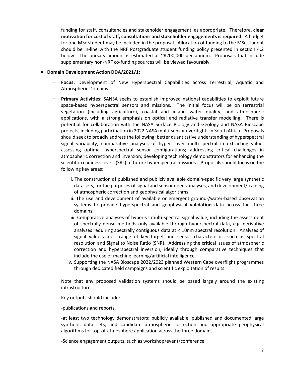funding for staff, consultancies and stakeholder engagement, as appropriate. Therefore, **clear motivation for cost of staff, consultations and stakeholder engagements is required**. A budget for one MSc student may be included in the proposal. Allocation of funding to the MSc student should be in-line with the NRF Postgraduate student funding policy presented in section 4.2 below. The bursary amount is estimated at ~R200,000 per annum. Proposals that include supplementary non-NRF co-funding sources will be viewed favourably.

#### **Domain Development Action DDA/2021/1:**

- − **Focus:** Development of New Hyperspectral Capabilities across Terrestrial, Aquatic and Atmospheric Domains
- − **Primary Activities:** SANSA seeks to establish improved national capabilities to exploit future space-based hyperspectral sensors and missions. The initial focus will be on terrestrial vegetation (including agriculture), coastal and inland water quality, and atmospheric applications, with a strong emphasis on optical and radiative transfer modelling. There is potential for collaboration with the NASA Surface Biology and Geology and NASA Bioscape projects, including participation in 2022 NASA multi-sensor overflights in South Africa. Proposals should seek to broadly address the following: better quantitative understanding of hyperspectral signal variability; comparative analyses of hyper- over multi-spectral in extracting value; assessing optimal hyperspectral sensor configurations; addressing critical challenges in atmospheric correction and inversion; developing technology demonstrators for enhancing the scientific readiness levels (SRL) of future hyperspectral missions . Proposals should focus on the following key areas:
	- i. The construction of published and publicly available domain-specific very large synthetic data sets, for the purposes of signal and sensor needs analyses, and development/training of atmospheric correction and geophysical algorithms;
	- ii. The use and development of available or emergent ground-/water-based observation systems to provide hyperspectral and geophysical **validation** data across the three domains;
	- iii. Comparative analyses of hyper-vs multi-spectral signal value, including the assessment of spectrally dense methods only available through hyperspectral data, e.g. derivative analyses requiring spectrally contiguous data at < 10nm spectral resolution. Analyses of signal value across range of key target and sensor characteristics such as spectral resolution and Signal to Noise Ratio (SNR). Addressing the critical issues of atmospheric correction and hyperspectral inversion, ideally through comparative techniques that include the use of machine learning/artificial intelligence.
	- iv. Supporting the NASA Bioscape 2022/2023 planned Western Cape overflight programmes through dedicated field campaigns and scientific exploitation of results

Note that any proposed validation systems should be based largely around the existing infrastructure.

Key outputs should include:

-publications and reports.

-at least two technology demonstrators: publicly available, published and documented large synthetic data sets; and candidate atmospheric correction and appropriate geophysical algorithms for top-of-atmosphere application across the three domains.

-Science engagement outputs, such as workshop/event/conference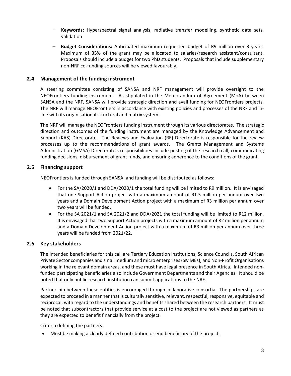- − **Keywords:** Hyperspectral signal analysis, radiative transfer modelling, synthetic data sets, validation
- − **Budget Considerations:** Anticipated maximum requested budget of R9 million over 3 years. Maximum of 35% of the grant may be allocated to salaries/research assistant/consultant. Proposals should include a budget for two PhD students. Proposals that include supplementary non-NRF co-funding sources will be viewed favourably.

#### **2.4 Management of the funding instrument**

A steering committee consisting of SANSA and NRF management will provide oversight to the NEOFrontiers funding instrument. As stipulated in the Memorandum of Agreement (MoA) between SANSA and the NRF, SANSA will provide strategic direction and avail funding for NEOFrontiers projects. The NRF will manage NEOFrontiers in accordance with existing policies and processes of the NRF and inline with its organisational structural and matrix system.

The NRF will manage the NEOFrontiers funding instrument through its various directorates. The strategic direction and outcomes of the funding instrument are managed by the Knowledge Advancement and Support (KAS) Directorate. The Reviews and Evaluation (RE) Directorate is responsible for the review processes up to the recommendations of grant awards. The Grants Management and Systems Administration (GMSA) Directorate's responsibilities include posting of the research call, communicating funding decisions, disbursement of grant funds, and ensuring adherence to the conditions of the grant.

#### **2.5 Financing support**

NEOFrontiers is funded through SANSA, and funding will be distributed as follows:

- For the SA/2020/1 and DDA/2020/1 the total funding will be limited to R9 million. It is envisaged that one Support Action project with a maximum amount of R1.5 million per annum over two years and a Domain Development Action project with a maximum of R3 million per annum over two years will be funded.
- For the SA 2021/1 and SA 2021/2 and DDA/2021 the total funding will be limited to R12 million. It is envisaged that two Support Action projects with a maximum amount of R2 million per annum and a Domain Development Action project with a maximum of R3 million per annum over three years will be funded from 2021/22.

#### **2.6 Key stakeholders**

The intended beneficiaries for this call are Tertiary Education Institutions, Science Councils, South African Private Sector companies and small medium and micro enterprises(SMMEs), and Non-Profit Organisations working in the relevant domain areas, and these must have legal presence in South Africa. Intended nonfunded participating beneficiaries also include Government Departments and their Agencies. It should be noted that only public research institution can submit applications to the NRF.

Partnership between these entities is encouraged through collaborative consortia. The partnerships are expected to proceed in a manner that is culturally sensitive, relevant, respectful, responsive, equitable and reciprocal, with regard to the understandings and benefits shared between the research partners. It must be noted that subcontractors that provide service at a cost to the project are not viewed as partners as they are expected to benefit financially from the project.

Criteria defining the partners:

Must be making a clearly defined contribution or end beneficiary of the project.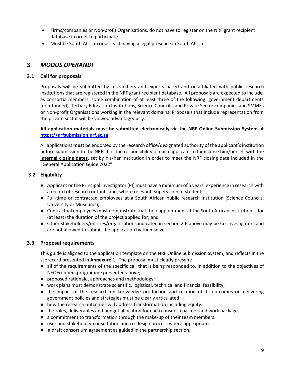- Firms/companies or Non-profit Organisations, do not have to register on the NRF grant recipient database in order to participate.
- Must be South African or at least having a legal presence in South Africa.

## **3** *MODUS OPERANDI*

### **3.1 Call for proposals**

Proposals will be submitted by researchers and experts based and or affiliated with public research institutions that are registered in the NRF grant recipient database. All proposals are expected to include, as consortia members, some combination of at least three of the following: government departments (non-funded), Tertiary Education Institutions, Science Councils, and Private Sector companies and SMMEs or Non-profit Organisations working in the relevant domains. Proposals that include representation from the private sector will be viewed advantageously.

#### **All application materials must be submitted electronically via the NRF Online Submission System at [https://nrfsubmission.nrf.ac.za](https://nrfsubmission.nrf.ac.za/)**

All applications **must** be endorsed by the research office/designated authority of the applicant's institution before submission to the NRF. It is the responsibility of each applicant to familiarise him/herself with the **internal closing dates**, set by his/her institution in order to meet the NRF closing date included in the "General Application Guide 2022".

## **3.2 Eligibility**

- Applicant or the Principal Investigator (PI) must have a minimum of 5 years' experience in research with a record of research outputs and, where relevant, supervision of students;
- Full-time or contracted employees at a South African public research institution (Science Councils, University or Museums)**;**
- Contractual employees must demonstrate that their appointment at the South African institution is for (at least) the duration of the project applied for; and
- Other stakeholders/entities/organisations indicated in section 2.6 above may be Co-investigators and are not allowed to submit the application by themselves.

## **3.3 Proposal requirements**

This guide is aligned to the application template on the NRF Online Submission System, and reflects in the scorecard presented in **Annexure 1**. The proposal must clearly present:

- all of the requirements of the specific call that is being responded to, in addition to the objectives of NEOFrontiers programme presented above;
- proposed rationale, approaches and methodology;
- work plans must demonstrate scientific, logistical, technical and financial feasibility;
- the impact of the research on knowledge production and relation of its outcomes on delivering government policies and strategies must be clearly articulated;
- how the research outcomes will address transformation including equity.
- the roles, deliverables and budget allocation for each consortia partner and work package.
- a commitment to transformation through the make-up of their team members.
- user and stakeholder consultation and co-design process where appropriate.
- a draft consortium agreement as guided in the partnership section.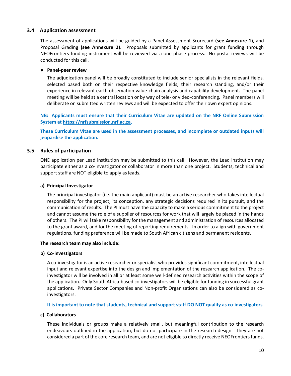#### **3.4 Application assessment**

The assessment of applications will be guided by a Panel Assessment Scorecard **(see Annexure 1)**, and Proposal Grading **(see Annexure 2)**. Proposals submitted by applicants for grant funding through NEOFrontiers funding instrument will be reviewed via a one-phase process. No postal reviews will be conducted for this call.

#### ● **Panel-peer review**

The adjudication panel will be broadly constituted to include senior specialists in the relevant fields, selected based both on their respective knowledge fields, their research standing, and/or their experience in relevant earth observation value-chain analysis and capability development. The panel meeting will be held at a central location or by way of tele- or video-conferencing. Panel members will deliberate on submitted written reviews and will be expected to offer their own expert opinions.

**NB: Applicants must ensure that their Curriculum Vitae are updated on the NRF Online Submission System at [https://nrfsubmission.nrf.ac.za.](https://nrfsubmission.nrf.ac.za/)**

**These Curriculum Vitae are used in the assessment processes, and incomplete or outdated inputs will jeopardise the application.**

#### **3.5 Rules of participation**

ONE application per Lead institution may be submitted to this call. However, the Lead institution may participate either as a co-investigator or collaborator in more than one project. Students, technical and support staff are NOT eligible to apply as leads.

#### **a) Principal Investigator**

The principal investigator (i.e. the main applicant) must be an active researcher who takes intellectual responsibility for the project, its conception, any strategic decisions required in its pursuit, and the communication of results. The PI must have the capacity to make a serious commitment to the project and cannot assume the role of a supplier of resources for work that will largely be placed in the hands of others. The PI will take responsibility for the management and administration of resources allocated to the grant award, and for the meeting of reporting requirements. In order to align with government regulations, funding preference will be made to South African citizens and permanent residents.

#### **The research team may also include:**

#### **b) Co-investigators**

A co-investigator is an active researcher or specialist who provides significant commitment, intellectual input and relevant expertise into the design and implementation of the research application. The coinvestigator will be involved in all or at least some well-defined research activities within the scope of the application. Only South Africa-based co-investigators will be eligible for funding in successful grant applications. Private Sector Companies and Non-profit Organisations can also be considered as coinvestigators.

#### **It is important to note that students, technical and support staff DO NOT qualify as co-investigators**

#### **c) Collaborators**

These individuals or groups make a relatively small, but meaningful contribution to the research endeavours outlined in the application, but do not participate in the research design. They are not considered a part of the core research team, and are not eligible to directly receive NEOFrontiers funds,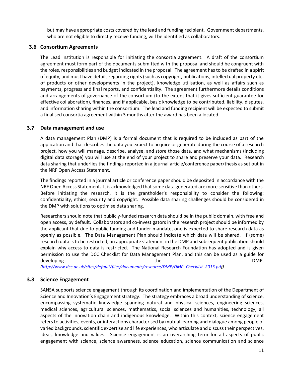but may have appropriate costs covered by the lead and funding recipient. Government departments, who are not eligible to directly receive funding, will be identified as collaborators.

#### **3.6 Consortium Agreements**

The Lead institution is responsible for initiating the consortia agreement. A draft of the consortium agreement must form part of the documents submitted with the proposal and should be congruent with the roles, responsibilities and budget indicated in the proposal. The agreement has to be drafted in a spirit of equity, and must have details regarding rights (such as copyright, publications, intellectual property etc. of products or other developments in the project), knowledge utilisation, as well as affairs such as payments, progress and final reports, and confidentiality. The agreement furthermore details conditions and arrangements of governance of the consortium (to the extent that it gives sufficient guarantee for effective collaboration), finances, and if applicable, basic knowledge to be contributed, liability, disputes, and information sharing within the consortium. The lead and funding recipient will be expected to submit a finalised consortia agreement within 3 months after the award has been allocated.

#### **3.7 Data management and use**

A data management Plan (DMP) is a formal document that is required to be included as part of the application and that describes the data you expect to acquire or generate during the course of a research project, how you will manage, describe, analyse, and store those data, and what mechanisms (including digital data storage) you will use at the end of your project to share and preserve your data. Research data sharing that underlies the findings reported in a journal article/conference paper/thesis as set out in the NRF Open Access Statement.

The findings reported in a journal article or conference paper should be deposited in accordance with the NRF Open Access Statement. It is acknowledged that some data generated are more sensitive than others. Before initiating the research, it is the grantholder's responsibility to consider the following: confidentiality, ethics, security and copyright. Possible data sharing challenges should be considered in the DMP with solutions to optimise data sharing.

Researchers should note that publicly-funded research data should be in the public domain, with free and open access, by default. Collaborators and co-investigators in the research project should be informed by the applicant that due to public funding and funder mandate, one is expected to share research data as openly as possible. The Data Management Plan should indicate which data will be shared. If (some) research data is to be restricted, an appropriate statement in the DMP and subsequent publication should explain why access to data is restricted. The National Research Foundation has adopted and is given permission to use the DCC Checklist for Data Management Plan, and this can be used as a guide for developing the contract of the contract of the contract of  $\mathsf{DMP}.$ 

*[\(http://www.dcc.ac.uk/sites/default/files/documents/resource/DMP/DMP\\_Checklist\\_2013.pdf](http://www.dcc.ac.uk/sites/default/files/documents/resource/DMP/DMP_Checklist_2013.pd))*

#### **3.8 Science Engagement**

SANSA supports science engagement through its coordination and implementation of the Department of Science and Innovation's Engagement strategy. The strategy embraces a broad understanding of science, encompassing systematic knowledge spanning natural and physical sciences, engineering sciences, medical sciences, agricultural sciences, mathematics, social sciences and humanities, technology, all aspects of the innovation chain and indigenous knowledge. Within this context, science engagement refers to activities, events, or interactions characterised by mutual learning and dialogue among people of varied backgrounds, scientific expertise and life experiences, who articulate and discuss their perspectives, ideas, knowledge and values. Science engagement is an overarching term for all aspects of public engagement with science, science awareness, science education, science communication and science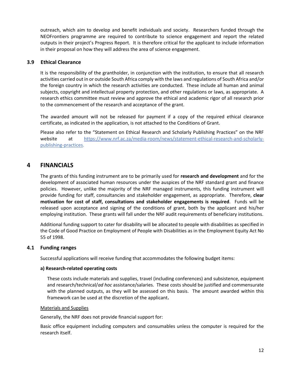outreach, which aim to develop and benefit individuals and society. Researchers funded through the NEOFrontiers programme are required to contribute to science engagement and report the related outputs in their project's Progress Report. It is therefore critical for the applicant to include information in their proposal on how they will address the area of science engagement.

#### **3.9 Ethical Clearance**

It is the responsibility of the grantholder, in conjunction with the institution, to ensure that all research activities carried out in or outside South Africa comply with the laws and regulations of South Africa and/or the foreign country in which the research activities are conducted. These include all human and animal subjects, copyright and intellectual property protection, and other regulations or laws, as appropriate. A research ethics committee must review and approve the ethical and academic rigor of all research prior to the commencement of the research and acceptance of the grant.

The awarded amount will not be released for payment if a copy of the required ethical clearance certificate, as indicated in the application, is not attached to the Conditions of Grant.

Please also refer to the "Statement on Ethical Research and Scholarly Publishing Practices" on the NRF website at [https://www.nrf.ac.za/media-room/news/statement-ethical-research-and-scholarly](https://www.nrf.ac.za/media-room/news/statement-ethical-research-and-scholarly-publishing-practices)[publishing-practices.](https://www.nrf.ac.za/media-room/news/statement-ethical-research-and-scholarly-publishing-practices)

## **4 FINANCIALS**

The grants of this funding instrument are to be primarily used for **research and development** and for the development of associated human resources under the auspices of the NRF standard grant and finance policies. However, unlike the majority of the NRF managed instruments, this funding instrument will provide funding for staff, consultancies and stakeholder engagement, as appropriate. Therefore, **clear motivation for cost of staff, consultations and stakeholder engagements is required**. Funds will be released upon acceptance and signing of the conditions of grant, both by the applicant and his/her employing institution. These grants will fall under the NRF audit requirements of beneficiary institutions.

Additional funding support to cater for disability will be allocated to people with disabilities as specified in the Code of Good Practice on Employment of People with Disabilities as in the Employment Equity Act No 55 of 1998.

#### **4.1 Funding ranges**

Successful applications will receive funding that accommodates the following budget items:

#### **a) Research-related operating costs**

These costs include materials and supplies, travel (including conferences) and subsistence, equipment and research/technical/*ad hoc* assistance/salaries. These costs should be justified and commensurate with the planned outputs, as they will be assessed on this basis. The amount awarded within this framework can be used at the discretion of the applicant**.** 

#### Materials and Supplies

Generally, the NRF does not provide financial support for:

Basic office equipment including computers and consumables unless the computer is required for the research itself.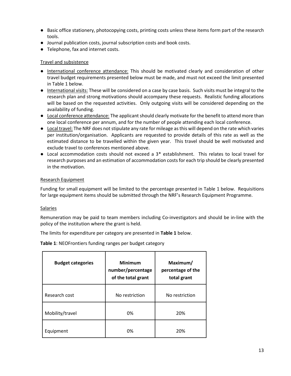- Basic office stationery, photocopying costs, printing costs unless these items form part of the research tools.
- Journal publication costs, journal subscription costs and book costs.
- Telephone, fax and internet costs.

#### Travel and subsistence

- International conference attendance: This should be motivated clearly and consideration of other travel budget requirements presented below must be made, and must not exceed the limit presented in Table 1 below.
- International visits: These will be considered on a case by case basis. Such visits must be integral to the research plan and strong motivations should accompany these requests. Realistic funding allocations will be based on the requested activities. Only outgoing visits will be considered depending on the availability of funding.
- Local conference attendance: The applicant should clearly motivate for the benefit to attend more than one local conference per annum, and for the number of people attending each local conference.
- Local travel: The NRF does not stipulate any rate for mileage as this will depend on the rate which varies per institution/organisation. Applicants are requested to provide details of this rate as well as the estimated distance to be travelled within the given year. This travel should be well motivated and exclude travel to conferences mentioned above.
- Local accommodation costs should not exceed a 3<sup>\*</sup> establishment. This relates to local travel for research purposes and an estimation of accommodation costs for each trip should be clearly presented in the motivation.

#### Research Equipment

Funding for small equipment will be limited to the percentage presented in Table 1 below. Requisitions for large equipment items should be submitted through the NRF's Research Equipment Programme.

#### **Salaries**

Remuneration may be paid to team members including Co-investigators and should be in-line with the policy of the institution where the grant is held.

The limits for expenditure per category are presented in **Table 1** below.

**Table 1**: NEOFrontiers funding ranges per budget category

| <b>Budget categories</b> | <b>Minimum</b><br>number/percentage<br>of the total grant | Maximum/<br>percentage of the<br>total grant |
|--------------------------|-----------------------------------------------------------|----------------------------------------------|
| Research cost            | No restriction                                            | No restriction                               |
| Mobility/travel          | 0%                                                        | 20%                                          |
| Equipment                | 0%                                                        | 20%                                          |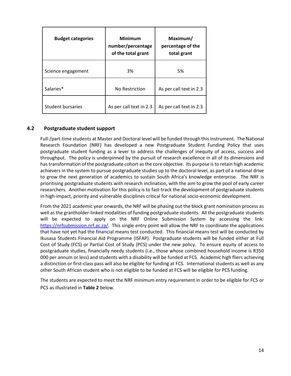| <b>Budget categories</b> | <b>Minimum</b><br>number/percentage<br>of the total grant | Maximum/<br>percentage of the<br>total grant |
|--------------------------|-----------------------------------------------------------|----------------------------------------------|
| Science engagement       | 3%                                                        | 5%                                           |
| Salaries*                | No Restriction                                            | As per call text in 2.3                      |
| Student bursaries        | As per call text in 2.3                                   | As per call text in 2.3                      |

#### **4.2 Postgraduate student support**

Full-/part-time students at Master and Doctoral level will be funded through this instrument. The National Research Foundation (NRF) has developed a new Postgraduate Student Funding Policy that uses postgraduate student funding as a lever to address the challenges of inequity of access, success and throughput. The policy is underpinned by the pursuit of research excellence in all of its dimensions and has transformation of the postgraduate cohort as the core objective. Its purpose is to retain high academic achievers in the system to pursue postgraduate studies up to the doctoral level, as part of a national drive to grow the next generation of academics to sustain South Africa's knowledge enterprise. The NRF is prioritising postgraduate students with research inclination, with the aim to grow the pool of early career researchers. Another motivation for this policy is to fast-track the development of postgraduate students in high-impact, priority and vulnerable disciplines critical for national socio-economic development.

From the 2021 academic year onwards, the NRF will be phasing out the block grant nomination process as well as the grantholder-linked modalities of funding postgraduate students. All the postgraduate students will be expected to apply on the NRF Online Submission System by accessing the link: [https://nrfsubmission.nrf.ac.za/.](https://nrfsubmission.nrf.ac.za/) This single entry point will allow the NRF to coordinate the applications that have not yet had the financial means test conducted. This financial means test will be conducted by Ikusasa Students Financial Aid Programme (ISFAP). Postgraduate students will be funded either at Full Cost of Study (FCS) or Partial Cost of Study (PCS) under the new policy. To ensure equity of access to postgraduate studies, financially needy students (i.e., those whose combined household income is R350 000 per annum or less) and students with a disability will be funded at FCS. Academic high fliers achieving a distinction or first-class pass will also be eligible for funding at FCS. International students as well as any other South African student who is not eligible to be funded at FCS will be eligible for PCS funding.

The students are expected to meet the NRF minimum entry requirement in order to be eligible for FCS or PCS as illustrated in **Table 2** below.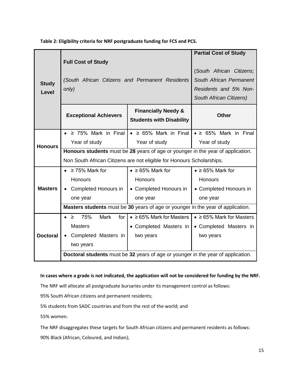**Table 2: Eligibility criteria for NRF postgraduate funding for FCS and PCS.**

|                                                                                  |                                                                                 |                                       | <b>Partial Cost of Study</b>          |  |  |
|----------------------------------------------------------------------------------|---------------------------------------------------------------------------------|---------------------------------------|---------------------------------------|--|--|
|                                                                                  | <b>Full Cost of Study</b>                                                       |                                       |                                       |  |  |
|                                                                                  |                                                                                 |                                       | (South African Citizens;              |  |  |
|                                                                                  | (South African Citizens and Permanent Residents                                 |                                       | South African Permanent               |  |  |
| <b>Study</b><br>Level                                                            | only)                                                                           |                                       | Residents and 5% Non-                 |  |  |
|                                                                                  |                                                                                 |                                       | South African Citizens)               |  |  |
|                                                                                  |                                                                                 | <b>Financially Needy &amp;</b>        |                                       |  |  |
|                                                                                  | <b>Exceptional Achievers</b>                                                    | <b>Students with Disability</b>       | <b>Other</b>                          |  |  |
|                                                                                  |                                                                                 |                                       |                                       |  |  |
|                                                                                  | $\geq$ 75% Mark in Final<br>$\bullet$                                           | $\bullet$ $\geq$ 65% Mark in Final    | $\bullet$ $\geq$ 65% Mark in Final    |  |  |
| <b>Honours</b>                                                                   | Year of study                                                                   | Year of study                         | Year of study                         |  |  |
|                                                                                  | Honours students must be 28 years of age or younger in the year of application. |                                       |                                       |  |  |
|                                                                                  | Non South African Citizens are not eligible for Honours Scholarships.           |                                       |                                       |  |  |
|                                                                                  | $\geq$ 75% Mark for                                                             | $\bullet$ $\geq$ 65% Mark for         | $\bullet$ ≥ 65% Mark for              |  |  |
|                                                                                  | Honours                                                                         | Honours                               | Honours                               |  |  |
| <b>Masters</b>                                                                   | Completed Honours in                                                            | • Completed Honours in                | • Completed Honours in                |  |  |
|                                                                                  | one year                                                                        | one year                              | one year                              |  |  |
|                                                                                  | Masters students must be 30 years of age or younger in the year of application. |                                       |                                       |  |  |
|                                                                                  | 75%<br><b>Mark</b><br>for<br>$\bullet$<br>$\geq$                                | $\bullet$ $\geq$ 65% Mark for Masters | $\bullet$ $\geq$ 65% Mark for Masters |  |  |
| <b>Doctoral</b>                                                                  | <b>Masters</b>                                                                  | • Completed Masters in                | • Completed Masters in                |  |  |
|                                                                                  | Completed Masters in                                                            | two years                             | two years                             |  |  |
|                                                                                  | two years                                                                       |                                       |                                       |  |  |
| Doctoral students must be 32 years of age or younger in the year of application. |                                                                                 |                                       |                                       |  |  |

#### **In cases where a grade is not indicated, the application will not be considered for funding by the NRF.**

The NRF will allocate all postgraduate bursaries under its management control as follows:

95% South African citizens and permanent residents;

5% students from SADC countries and from the rest of the world; and

55% women.

The NRF disaggregates these targets for South African citizens and permanent residents as follows: 90% Black (African, Coloured, and Indian);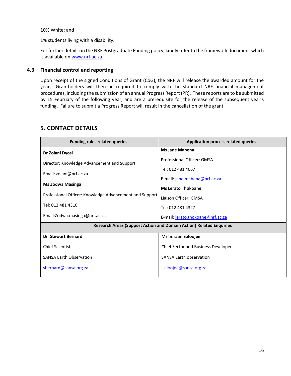10% White; and

1% students living with a disability.

For further details on the NRF Postgraduate Funding policy, kindly refer to the framework document which is available o[n www.nrf.ac.za](http://www.nrf.ac.za/)."

#### **4.3 Financial control and reporting**

Upon receipt of the signed Conditions of Grant (CoG), the NRF will release the awarded amount for the year. Grantholders will then be required to comply with the standard NRF financial management procedures, including the submission of an annual Progress Report (PR). These reports are to be submitted by 15 February of the following year, and are a prerequisite for the release of the subsequent year's funding. Failure to submit a Progress Report will result in the cancellation of the grant.

## **5. CONTACT DETAILS**

| <b>Funding rules related queries</b>                    | <b>Application process related queries</b>                                 |
|---------------------------------------------------------|----------------------------------------------------------------------------|
| Dr Zolani Dyosi                                         | <b>Ms Jane Mabena</b>                                                      |
| Director: Knowledge Advancement and Support             | Professional Officer: GMSA                                                 |
| Email: zolani@nrf.ac.za                                 | Tel: 012 481 4067                                                          |
|                                                         | E-mail: jane.mabena@nrf.ac.za                                              |
| Ms Zodwa Masinga                                        | <b>Ms Lerato Thokoane</b>                                                  |
| Professional Officer: Knowledge Advancement and Support | Liaison Officer: GMSA                                                      |
| Tel: 012 481 4310                                       | Tel: 012 481 4327                                                          |
| Email:Zodwa.masinga@nrf.ac.za                           | E-mail: lerato.thokoane@nrf.ac.za                                          |
|                                                         | <b>Research Areas (Support Action and Domain Action) Related Enquiries</b> |
| <b>Dr Stewart Bernard</b>                               | Mr Imraan Saloojee                                                         |
| <b>Chief Scientist</b>                                  | <b>Chief Sector and Business Developer</b>                                 |
| <b>SANSA Earth Observation</b>                          | <b>SANSA Earth observation</b>                                             |
| sbernard@sansa.org.za                                   | isaloojee@sansa.org.za                                                     |
|                                                         |                                                                            |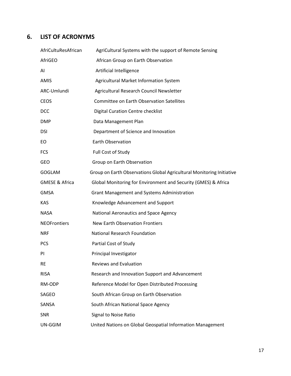## **6. LIST OF ACRONYMS**

| AfriCultuResAfrican       | AgriCultural Systems with the support of Remote Sensing               |
|---------------------------|-----------------------------------------------------------------------|
| AfriGEO                   | African Group on Earth Observation                                    |
| AI                        | Artificial Intelligence                                               |
| AMIS                      | Agricultural Market Information System                                |
| ARC-Umlundi               | Agricultural Research Council Newsletter                              |
| <b>CEOS</b>               | <b>Committee on Earth Observation Satellites</b>                      |
| <b>DCC</b>                | Digital Curation Centre checklist                                     |
| <b>DMP</b>                | Data Management Plan                                                  |
| <b>DSI</b>                | Department of Science and Innovation                                  |
| EO.                       | <b>Earth Observation</b>                                              |
| <b>FCS</b>                | Full Cost of Study                                                    |
| <b>GEO</b>                | Group on Earth Observation                                            |
| GOGLAM                    | Group on Earth Observations Global Agricultural Monitoring Initiative |
| <b>GMESE &amp; Africa</b> | Global Monitoring for Environment and Security (GMES) & Africa        |
| <b>GMSA</b>               | <b>Grant Management and Systems Administration</b>                    |
| <b>KAS</b>                | Knowledge Advancement and Support                                     |
| <b>NASA</b>               | National Aeronautics and Space Agency                                 |
| <b>NEOFrontiers</b>       | <b>New Earth Observation Frontiers</b>                                |
| <b>NRF</b>                | National Research Foundation                                          |
| <b>PCS</b>                | Partial Cost of Study                                                 |
| PI                        | Principal Investigator                                                |
| <b>RE</b>                 | <b>Reviews and Evaluation</b>                                         |
| <b>RISA</b>               | Research and Innovation Support and Advancement                       |
| RM-ODP                    | Reference Model for Open Distributed Processing                       |
| SAGEO                     | South African Group on Earth Observation                              |
| SANSA                     | South African National Space Agency                                   |
| <b>SNR</b>                | Signal to Noise Ratio                                                 |
| UN-GGIM                   | United Nations on Global Geospatial Information Management            |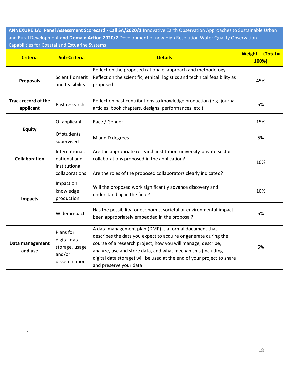**ANNEXURE 1A: Panel Assessment Scorecard - Call SA/2020/1** Innovative Earth Observation Approaches to Sustainable Urban and Rural Development **and Domain Action 2020/2** Development of new High Resolution Water Quality Observation Capabilities for Coastal and Estuarine Systems

| <b>Criteria</b>                         | <b>Sub-Criteria</b>                                                    | <b>Details</b>                                                                                                                                                                                                                                                                                                                                               | <b>Weight</b><br>$\overline{Total}$<br>100%) |
|-----------------------------------------|------------------------------------------------------------------------|--------------------------------------------------------------------------------------------------------------------------------------------------------------------------------------------------------------------------------------------------------------------------------------------------------------------------------------------------------------|----------------------------------------------|
| <b>Proposals</b>                        | Scientific merit<br>and feasibility                                    | Reflect on the proposed rationale, approach and methodology.<br>Reflect on the scientific, ethical <sup>1</sup> logistics and technical feasibility as<br>proposed                                                                                                                                                                                           | 45%                                          |
| <b>Track record of the</b><br>applicant | Past research                                                          | Reflect on past contributions to knowledge production (e.g. journal<br>articles, book chapters, designs, performances, etc.)                                                                                                                                                                                                                                 | 5%                                           |
| <b>Equity</b>                           | Of applicant                                                           | Race / Gender                                                                                                                                                                                                                                                                                                                                                | 15%                                          |
|                                         | Of students<br>supervised                                              | M and D degrees                                                                                                                                                                                                                                                                                                                                              | 5%                                           |
| <b>Collaboration</b>                    | International,<br>national and<br>institutional<br>collaborations      | Are the appropriate research institution-university-private sector<br>collaborations proposed in the application?                                                                                                                                                                                                                                            | 10%                                          |
|                                         |                                                                        | Are the roles of the proposed collaborators clearly indicated?                                                                                                                                                                                                                                                                                               |                                              |
| <b>Impacts</b>                          | Impact on<br>knowledge<br>production                                   | Will the proposed work significantly advance discovery and<br>understanding in the field?                                                                                                                                                                                                                                                                    | 10%                                          |
|                                         | Wider impact                                                           | Has the possibility for economic, societal or environmental impact<br>been appropriately embedded in the proposal?                                                                                                                                                                                                                                           | 5%                                           |
| Data management<br>and use              | Plans for<br>digital data<br>storage, usage<br>and/or<br>dissemination | A data management plan (DMP) is a formal document that<br>describes the data you expect to acquire or generate during the<br>course of a research project, how you will manage, describe,<br>analyze, use and store data, and what mechanisms (including<br>digital data storage) will be used at the end of your project to share<br>and preserve your data | 5%                                           |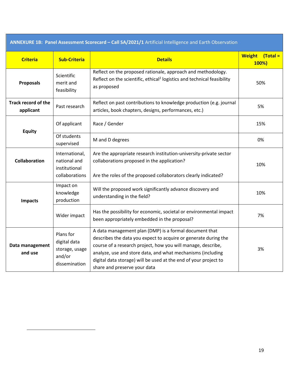| ANNEXURE 1B: Panel Assessment Scorecard - Call SA/2021/1 Artificial Intelligence and Earth Observation |                                                                        |                                                                                                                                                                                                                                                                                                                                                              |                                              |
|--------------------------------------------------------------------------------------------------------|------------------------------------------------------------------------|--------------------------------------------------------------------------------------------------------------------------------------------------------------------------------------------------------------------------------------------------------------------------------------------------------------------------------------------------------------|----------------------------------------------|
| <b>Criteria</b>                                                                                        | <b>Sub-Criteria</b>                                                    | <b>Details</b>                                                                                                                                                                                                                                                                                                                                               | <b>Weight</b><br>$\textsf{Total} =$<br>100%) |
| <b>Proposals</b>                                                                                       | Scientific<br>merit and<br>feasibility                                 | Reflect on the proposed rationale, approach and methodology.<br>Reflect on the scientific, ethical <sup>2</sup> logistics and technical feasibility<br>as proposed                                                                                                                                                                                           | 50%                                          |
| <b>Track record of the</b><br>applicant                                                                | Past research                                                          | Reflect on past contributions to knowledge production (e.g. journal<br>articles, book chapters, designs, performances, etc.)                                                                                                                                                                                                                                 | 5%                                           |
| <b>Equity</b>                                                                                          | Of applicant                                                           | Race / Gender                                                                                                                                                                                                                                                                                                                                                | 15%                                          |
|                                                                                                        | Of students<br>supervised                                              | M and D degrees                                                                                                                                                                                                                                                                                                                                              | 0%                                           |
| <b>Collaboration</b>                                                                                   | International,<br>national and<br>institutional<br>collaborations      | Are the appropriate research institution-university-private sector<br>collaborations proposed in the application?<br>Are the roles of the proposed collaborators clearly indicated?                                                                                                                                                                          | 10%                                          |
| <b>Impacts</b>                                                                                         | Impact on<br>knowledge<br>production                                   | Will the proposed work significantly advance discovery and<br>understanding in the field?                                                                                                                                                                                                                                                                    | 10%                                          |
|                                                                                                        | Wider impact                                                           | Has the possibility for economic, societal or environmental impact<br>been appropriately embedded in the proposal?                                                                                                                                                                                                                                           | 7%                                           |
| Data management<br>and use                                                                             | Plans for<br>digital data<br>storage, usage<br>and/or<br>dissemination | A data management plan (DMP) is a formal document that<br>describes the data you expect to acquire or generate during the<br>course of a research project, how you will manage, describe,<br>analyze, use and store data, and what mechanisms (including<br>digital data storage) will be used at the end of your project to<br>share and preserve your data | 3%                                           |

 $\overline{a}$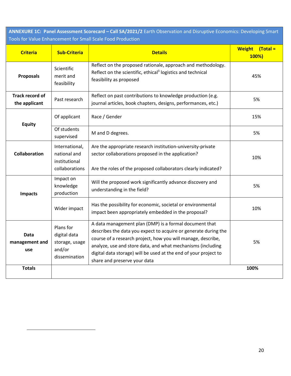**ANNEXURE 1C: Panel Assessment Scorecard – Call SA/2021/2** Earth Observation and Disruptive Economics: Developing Smart Tools for Value Enhancement for Small Scale Food Production

| <b>Criteria</b>                         | <b>Sub-Criteria</b>                                                    | <b>Details</b>                                                                                                                                                                                                                                                                                                                                               | Weight (Total =<br>100%) |
|-----------------------------------------|------------------------------------------------------------------------|--------------------------------------------------------------------------------------------------------------------------------------------------------------------------------------------------------------------------------------------------------------------------------------------------------------------------------------------------------------|--------------------------|
| <b>Proposals</b>                        | Scientific<br>merit and<br>feasibility                                 | Reflect on the proposed rationale, approach and methodology.<br>Reflect on the scientific, ethical <sup>3</sup> logistics and technical<br>feasibility as proposed                                                                                                                                                                                           | 45%                      |
| <b>Track record of</b><br>the applicant | Past research                                                          | Reflect on past contributions to knowledge production (e.g.<br>journal articles, book chapters, designs, performances, etc.)                                                                                                                                                                                                                                 | 5%                       |
| <b>Equity</b>                           | Of applicant                                                           | Race / Gender                                                                                                                                                                                                                                                                                                                                                | 15%                      |
|                                         | Of students<br>supervised                                              | M and D degrees.                                                                                                                                                                                                                                                                                                                                             | 5%                       |
| <b>Collaboration</b>                    | International,<br>national and<br>institutional<br>collaborations      | Are the appropriate research institution-university-private<br>sector collaborations proposed in the application?<br>Are the roles of the proposed collaborators clearly indicated?                                                                                                                                                                          | 10%                      |
| <b>Impacts</b>                          | Impact on<br>knowledge<br>production                                   | Will the proposed work significantly advance discovery and<br>understanding in the field?                                                                                                                                                                                                                                                                    | 5%                       |
|                                         | Wider impact                                                           | Has the possibility for economic, societal or environmental<br>impact been appropriately embedded in the proposal?                                                                                                                                                                                                                                           | 10%                      |
| Data<br>management and<br>use           | Plans for<br>digital data<br>storage, usage<br>and/or<br>dissemination | A data management plan (DMP) is a formal document that<br>describes the data you expect to acquire or generate during the<br>course of a research project, how you will manage, describe,<br>analyze, use and store data, and what mechanisms (including<br>digital data storage) will be used at the end of your project to<br>share and preserve your data | 5%                       |
| <b>Totals</b>                           |                                                                        |                                                                                                                                                                                                                                                                                                                                                              | 100%                     |

 $\overline{a}$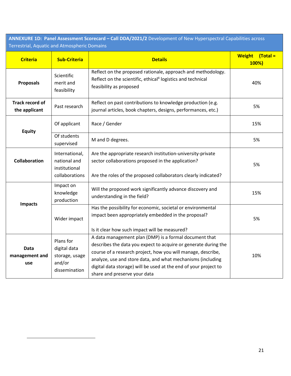**ANNEXURE 1D: Panel Assessment Scorecard – Call DDA/2021/2** Development of New Hyperspectral Capabilities across Terrestrial, Aquatic and Atmospheric Domains

| <b>Criteria</b>                  | <b>Sub-Criteria</b>                                                    | <b>Details</b>                                                                                                                                                                                                                                                                                                                                               | $\vert$ (Total =<br><b>Weight</b><br>100%) |
|----------------------------------|------------------------------------------------------------------------|--------------------------------------------------------------------------------------------------------------------------------------------------------------------------------------------------------------------------------------------------------------------------------------------------------------------------------------------------------------|--------------------------------------------|
| <b>Proposals</b>                 | Scientific<br>merit and<br>feasibility                                 | Reflect on the proposed rationale, approach and methodology.<br>Reflect on the scientific, ethical <sup>4</sup> logistics and technical<br>feasibility as proposed                                                                                                                                                                                           | 40%                                        |
| Track record of<br>the applicant | Past research                                                          | Reflect on past contributions to knowledge production (e.g.<br>journal articles, book chapters, designs, performances, etc.)                                                                                                                                                                                                                                 | 5%                                         |
| <b>Equity</b>                    | Of applicant                                                           | Race / Gender                                                                                                                                                                                                                                                                                                                                                | 15%                                        |
|                                  | Of students<br>supervised                                              | M and D degrees.                                                                                                                                                                                                                                                                                                                                             | 5%                                         |
| <b>Collaboration</b>             | International,<br>national and<br>institutional<br>collaborations      | Are the appropriate research institution-university-private<br>sector collaborations proposed in the application?<br>Are the roles of the proposed collaborators clearly indicated?                                                                                                                                                                          | 5%                                         |
| <b>Impacts</b>                   | Impact on<br>knowledge<br>production                                   | Will the proposed work significantly advance discovery and<br>understanding in the field?                                                                                                                                                                                                                                                                    | 15%                                        |
|                                  | Wider impact                                                           | Has the possibility for economic, societal or environmental<br>impact been appropriately embedded in the proposal?<br>Is it clear how such impact will be measured?                                                                                                                                                                                          | 5%                                         |
| Data<br>management and<br>use    | Plans for<br>digital data<br>storage, usage<br>and/or<br>dissemination | A data management plan (DMP) is a formal document that<br>describes the data you expect to acquire or generate during the<br>course of a research project, how you will manage, describe,<br>analyze, use and store data, and what mechanisms (including<br>digital data storage) will be used at the end of your project to<br>share and preserve your data | 10%                                        |

l